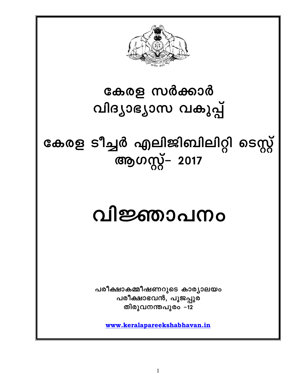

## കേരള സർക്കാർ വിദ്യാഭ്യാസ വകുപ്പ്

കേരള ടീച്ചർ എലിജിബിലിറ്റി ടെസ്റ്റ് ആഗസ്റ്റ് 2017

# വിജ്ഞാപനം

പരീക്ഷാകമ്മീഷണറുടെ കാര്യാലയം പരീക്ഷാഭവൻ, പൂജപ്പുര തിരുവനന്തപുരം –12

www.keralapareekshabhavan.in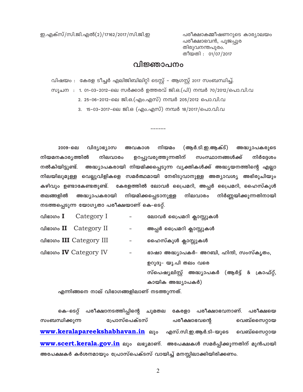ഇ.എക്സ്/സി.ജി.എൽ(2)/17162/2017/സി.ജി.ഇ

പരീക്ഷാകമ്മീഷണറുടെ കാര്യാലയം പരീക്ഷാഭവൻ, പൂജപ്പുര തിരുവനന്തപുരം. തീയതി : 01/07/2017

## വിജ്ഞാപനം

വിഷയം : കേരള ടീച്ചർ എലിജിബിലിറ്റി ടെസ്റ്റ് - ആഗസ്റ്റ് 2017 സംബന്ധിച്ച്. സുചന : 1. 01–03–2012–ലെ സർക്കാർ ഉത്തരവ് ജി.ഒ.(പി) നമ്പർ 70/2012/പൊ.വി.വ

2. 25-06-2012-ലെ ജി.ഒ.(എം.എസ്) നമ്പർ 205/2012 പൊ.വി.വ

3. 15-03-2017-ലെ ജി.ഒ (എം.എസ്) നമ്പർ 18/2017/പൊ.വി.വ

(ആർ.ടി.ഇ.ആക്ട്) 2009-ലെ വിദ്യാഭ്യാസ അവകാശ നിയമം അദ്ധ്യാപകരുടെ നിർദ്ദേശം നിയമനകാര്യത്തിൽ നിലവാരം ഉറപ്പുവരുത്തുന്നതിന് സംസ്ഥാനങ്ങൾക്ക് അദ്ധ്യാപകരായി നിയമിക്കപ്പെടുന്ന വ്യക്തികൾക്ക് അദ്ധ്യയനത്തിന്റെ എല്ലാ നൽകിയിട്ടുണ്ട്. നിലയിലുമുള്ള വെല്ലുവിളികളെ സമർത്ഥമായി നേരിടുവാനുള്ള അത്യാവശ്യ അഭിരുചിയും കഴിവും ഉണ്ടാകേണ്ടതുണ്ട്. കേരളത്തിൽ ലോവർ പ്രൈമറി, അപ്പർ പ്രൈമറി, ഹൈസ്കൂൾ തലങ്ങളിൽ അദ്ധ്യാപകരായി നിയമിക്കപ്പെടാനുള്ള നിലവാരം നിർണ്ണയിക്കുന്നതിനായി നടത്തപ്പെടുന്ന യോഗൃതാ പരീക്ഷയാണ് കെ-ടെറ്റ്.

| വിഭാഗം $\mathbf I$ | Category I                   | -                        | ലോവർ പ്രൈമറി ക്ലാസ്സുകൾ                          |
|--------------------|------------------------------|--------------------------|--------------------------------------------------|
|                    | വിഭാഗം II Category II        | -                        | അപ്പർ പ്രൈമറി ക്ലാസ്സുകൾ                         |
|                    | വിഭാഗം III Category III      | $\overline{\phantom{a}}$ | ഹൈസ്കൂൾ ക്ലാസ്സുകൾ                               |
|                    | വിഭാഗം <b>IV</b> Category IV | -                        | ഭാഷാ അദ്ധ്യാപകർ- അറബി, ഹിന്ദി, സംസ്കൃതം,         |
|                    |                              |                          | ഉറുദു– യു.പി തലം വരെ                             |
|                    |                              |                          | സ്പെഷ്യലിസ്റ്റ് അദ്ധ്യാപകർ (ആർട്ട് & ക്രാഫ്റ്റ്, |

കായിക അദ്ധ്യാപകർ)

എന്നിങ്ങനെ നാല് വിഭാഗങ്ങളിലാണ് നടത്തുന്നത്.

പരീക്ഷാനടത്തിപ്പിന്റെ ചുമതല കേരളാ പരീക്ഷാഭവനാണ്. പരീക്ഷയെ കെ–ടെറ്റ് സംബന്ധിക്കുന്ന പ്രോസ്പെക്ടസ് പരീക്ഷാഭവന്റെ വെബ്സൈറ്റായ www.keralapareekshabhavan.in ലും എസ്.സി.ഇ.ആർ.ടി-യുടെ വെബ്സൈറ്റായ <mark>www.scert.kerala.gov.in</mark> ലും ലഭ്യമാണ്. അപേക്ഷകൾ സമർപ്പിക്കുന്നതിന് മുൻപായി അപേക്ഷകർ കർശനമായും പ്രോസ്പെക്ടസ് വായിച്ച് മനസ്സിലാക്കിയിരിക്കണം.

 $\overline{2}$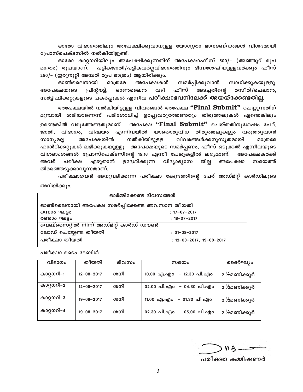ഓരോ വിഭാഗത്തിലും അപേക്ഷിക്കുവാനുള്ള യോഗൃതാ മാനദണ്ഡങ്ങൾ വിശദമായി പ്രോസ്പെക്ടസിൽ നൽകിയിട്ടുണ്ട്.

ഓരോ കാറ്റഗറിയിലും അപേക്ഷിക്കുന്നതിന് അപേക്ഷാഫീസ് 500/– (അഞ്ഞൂറ് രൂപ പട്ടികജാതി/പട്ടികവർഗ്ഗവിഭാഗത്തിനും ഭിന്നശേഷിയുള്ളവർക്കും ഫീസ് മാത്രം) രൂപയാണ്. 250/– (ഇരുനൂറ്റി അമ്പത് രൂപ മാത്രം) ആയിരിക്കും.

സാധിക്കുകയുള്ളു. ഓൺലൈനായി മാത്രമേ അപേക്ഷകൾ സമർപ്പിക്കുവാൻ അപേക്ഷയുടെ ഫീസ് അടച്ചതിന്റെ രസീത്/ചെലാൻ, പ്രിന്റൗട്ട്, ഓൺലൈൻ വഴി സർട്ടിഫിക്കറ്റുകളുടെ പകർപ്പുകൾ എന്നിവ <mark>പരീക്ഷാഭവനിലേക്ക് അയയ്ക്കേണ്ടതില്</mark>ല.

അപേക്ഷയിൽ നൽകിയിട്ടുള്ള വിവരങ്ങൾ അപേക്ഷ "Final Submit" ചെയ്യുന്നതിന് മുമ്പായി ശരിയാണെന്ന് പരിശോധിച്ച് ഉറപ്പുവരുത്തേണ്ടതും തിരുത്തലുകൾ എന്തെങ്കിലും അപേക്ഷ "Final Submit" ചെയ്തതിനുശേഷം പേര്, ഉണ്ടെങ്കിൽ വരുത്തേണ്ടതുമാണ്. ജാതി. വിഭാഗം. വിഷയം എന്നിവയിൽ യാതൊരുവിധ തിരുത്തലുകളും വരുത്തുവാൻ അപേക്ഷയിൽ നൽകിയിട്ടുള്ള വിവരങ്ങൾക്കനുസൃതമായി സാധ്യമല്ല. മാത്രമേ ഹാൾടിക്കറ്റുകൾ ലഭിക്കുകയുള്ളൂ. അപേക്ഷയുടെ സമർപ്പണം, ഫീസ് ഒടുക്കൽ എന്നിവയുടെ വിശദാംശങ്ങൾ പ്രോസ്പെക്ടസിന്റെ 15,16 എന്നീ പേജുകളിൽ ലഭ്യമാണ്. അപേക്ഷകർക്ക് പരീക്ഷ എഴുതാൻ ഉദ്ദേശിക്കുന്ന വിദ്യാഭ്യാസ ജില്ല അപേക്ഷാ സമയത്ത് അവർ തിരഞ്ഞെടുക്കാവുന്നതാണ്.

പരീക്ഷാഭവൻ അനുവദിക്കുന്ന പരീക്ഷാ കേന്ദ്രത്തിന്റെ പേര് അഡ്മിറ്റ് കാർഡിലൂടെ അറിയിക്കും.

| ഓർമ്മിക്കേണ്ട ദിവസങ്ങൾ                     |                                    |  |  |  |
|--------------------------------------------|------------------------------------|--|--|--|
| ഓൺലൈനായി അപേക്ഷ സമർപ്പിക്കേണ്ട അവസാന തീയതി |                                    |  |  |  |
| ഒന്നാം ഘട്ടം                               | $: 17 - 07 - 2017$                 |  |  |  |
| രണ്ടാം ഘട്ടം                               | $: 18 - 07 - 2017$                 |  |  |  |
| വെബ്സൈറ്റിൽ നിന്ന് അഡ്മിറ്റ് കാർഡ് ഡൗൺ     |                                    |  |  |  |
| ലോഡ് ചെയ്യേണ്ട തീയതി                       | $: 01 - 08 - 2017$                 |  |  |  |
| പരീക്ഷാ തീയതി                              | $: 12 - 08 - 2017, 19 - 08 - 2017$ |  |  |  |

പരീക്ഷാ ടൈം ടേബിൾ

| വിഭാഗം     | തീയതി            | ദിവസം | സമയം                         | ദൈർഘ്യം     |
|------------|------------------|-------|------------------------------|-------------|
| കാറ്റഗറി–1 | $12 - 08 - 2017$ | ശനി   | – 12.30 പി.എം<br>10.00 എ.എം  | 2 ½മണിക്കൂർ |
| കാറ്റഗറി–2 | $12 - 08 - 2017$ | ശനി   | 02.00 പി.എം<br>– 04.30 പി.എം | 2 ½മണിക്കൂർ |
| കാറ്റഗറി–3 | $19 - 08 - 2017$ | ശനി   | – 01.30 പി.എം<br>11.00 എ.എം  | 2 ½മണിക്കൂർ |
| കാറ്റഗറി–4 | $19 - 08 - 2017$ | ശനി   | 02.30 പി.എം – 05.00 പി.എം    | 2 ½മണിക്കൂർ |

പരീക്ഷാ കമ്മിഷണർ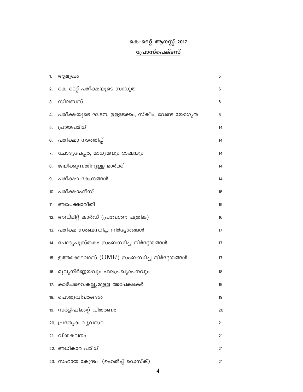## <u>കെ–ടെറ്റ് ആഗസ്റ്റ് 2017</u> <u>പ്രോസ്പെക്ടസ്</u>

| 1.  | ആമുഖം                                                                 | 5  |
|-----|-----------------------------------------------------------------------|----|
| 2.  | കെ-ടെറ്റ് പരീക്ഷയുടെ സാധുത                                            | 6  |
| 3.  | സിലബസ്                                                                | 6  |
| 4.  | പരീക്ഷയുടെ ഘടന, ഉള്ളടക്കം, സ്കീം, വേണ്ട യോഗൃത                         | 6  |
| 5.  | പ്രായപരിധി                                                            | 14 |
|     | 6. പരീക്ഷാ നടത്തിപ്പ്                                                 | 14 |
| 7.  | ചോദ്യപേപ്പർ, മാധ്യമവും ഭാഷയും                                         | 14 |
| 8.  | ജയിക്കുന്നതിനുള്ള മാർക്ക്                                             | 14 |
|     | 9. പരീക്ഷാ കേന്ദ്രങ്ങൾ                                                | 14 |
|     | 10. പരീക്ഷാഫീസ്                                                       | 15 |
| 11. | അപേക്ഷാരീതി                                                           | 15 |
|     | 12. അഡ്മിറ്റ് കാർഡ് (പ്രവേശന പത്രിക)                                  | 16 |
|     | 13. പരീക്ഷ സംബന്ധിച്ച നിർദ്ദേശങ്ങൾ                                    | 17 |
|     | 14. ചോദ്യപുസ്തകം സംബന്ധിച്ച നിർദ്ദേശങ്ങൾ                              | 17 |
|     | 15. ഉത്തരക്കടലാസ് $\left(\mathrm{OMR}\right)$ സംബന്ധിച്ച നിർദ്ദേശങ്ങൾ | 17 |
|     | 16. മൂല്യനിർണ്ണയവും ഫലപ്രഖ്യാപനവും                                    | 18 |
|     | 17. കാഴ്ചവൈകല്ല്യമുള്ള അപേക്ഷകർ                                       | 19 |
|     | 18. പൊതുവിവരങ്ങൾ                                                      | 19 |
|     | 19. സർട്ടിഫിക്കറ്റ് വിതരണം                                            | 20 |
|     | 20. പ്രത്യേക വൃവസ്ഥ                                                   | 21 |
| 21. | വിശകലനം                                                               | 21 |
|     | 22. അധികാര പരിധി                                                      | 21 |
|     | (ഹെൽപ്പ് ഡെസ്ക്)<br>23. സഹായ കേന്ദ്രം                                 | 21 |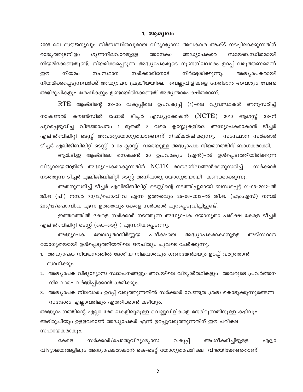#### 1. ആമുഖം

2009-ലെ സൗജന്യവും നിർബന്ധിതവുമായ വിദ്യാഭ്യാസ അവകാശ ആക്ട് നടപ്പിലാക്കുന്നതിന് രാജ്യത്തുടനീളം ഗുണനിലവാരമുള്ള സമയബന്ധിതമായി അനേകം അദ്ധ്യാപകരെ നിയമിക്കേണ്ടതുണ്ട്. നിയമിക്കപ്പെടുന്ന അദ്ധ്യാപകരുടെ ഗുണനിലവാരം ഉറപ്പ് വരുത്തണമെന്ന് സർക്കാരിനോട് നിയമം സംസ്ഥാന നിർദ്ദേശിക്കുന്നു. ഈ അദ്ധ്യാപകരായി നിയമിക്കപ്പെടുന്നവർക്ക് അദ്ധ്യാപന പ്രക്രീയയിലെ വെല്ലുവിളികളെ നേരിടാൻ അവശ്യം വേണ്ട അഭിരുചികളും ശേഷികളും ഉണ്ടായിരിക്കേണ്ടത് അതൃന്താപേക്ഷിതമാണ്.

RTE ആക്ടിന്റെ 23-ാം വകുപ്പിലെ ഉപവകുപ്പ് (1)-ലെ വൃവസ്ഥകൾ അനുസരിച്ച് നാഷണൽ കൗൺസിൽ ഫോർ ടീച്ചർ എഡ്യൂക്കേഷൻ ( $\operatorname{NCTE}$ ) 2010 ആഗസ്റ്റ് 23–ന് പുറപ്പെടുവിച്ച വിജ്ഞാപനം 1 മുതൽ 8 വരെ ക്ലാസ്സുകളിലെ അദ്ധ്യാപകരാകാൻ ടീച്ചർ എലിജിബിലിറ്റി ടെസ്റ്റ് അവശ്യയോഗ്യതയാണെന്ന് നിഷ്കർഷിക്കുന്നു. സംസ്ഥാന സർക്കാർ ടീച്ചർ എലിജിബിലിറ്റി ടെസ്റ്റ് 10-ാം ക്ലാസ്സ് വരെയുള്ള അദ്ധ്യാപക നിയമനത്തിന് ബാധകമാക്കി.

ആർ.ടി.ഇ ആക്ടിലെ സെക്ഷൻ 20 ഉപവാക്യം (എൻ)-ൽ ഉൾപ്പെടുത്തിയിരിക്കുന്ന വിദ്യാലയങ്ങളിൽ അദ്ധ്യാപകരാകുന്നതിന്  $NCTE$  മാനദണ്ഡങ്ങൾക്കനുസരിച്ച് സർക്കാർ നടത്തുന്ന ടീച്ചർ എലിജിബിലിറ്റി ടെസ്റ്റ് അനിവാര്യ യോഗ്യതയായി കണക്കാക്കുന്നു.

അതനുസരിച്ച് ടീച്ചർ എലിജിബിലിറ്റി ടെസ്റ്റിന്റെ നടത്തിപ്പുമായി ബന്ധപ്പെട്ട് 01-03-2012-ൽ ജി.ഒ (പി) നമ്പർ 70/12/പൊ.വി.വ എന്ന ഉത്തരവും 25-06-2012-ൽ ജി.ഒ. (എം.എസ്) നമ്പർ 205/12/പൊ.വി.വ എന്ന ഉത്തരവും കേരള സർക്കാർ പുറപ്പെടുവിച്ചിട്ടുണ്ട്.

ഇത്തരത്തിൽ കേരള സർക്കാർ നടത്തുന്ന അദ്ധ്യാപക യോഗ്യതാ പരീക്ഷ കേരള ടീച്ചർ എലിജിബിലിറ്റി ടെസ്റ്റ് (കെ-ടെറ്റ്) എന്നറിയപ്പെടുന്നു.

യോഗ്യതാനിർണ്ണയ പരീക്ഷയെ അടിസ്ഥാന അദ്ധ്യാപകരാകാനുള്ള അദ്ധ്യാപക യോഗ്യതയായി ഉൾപ്പെടുത്തിയതിലെ ഔചിത്യം ചുവടെ ചേർക്കുന്നു.

- 1. അദ്ധ്യാപക നിയമനത്തിൽ ദേശീയ നിലവാരവും ഗുണമേൻമയും ഉറപ്പ് വരുത്താൻ സാധിക്കും
- 2. അദ്ധ്യാപക വിദ്യാഭ്യാസ സ്ഥാപനങ്ങളും അവയിലെ വിദ്യാർത്ഥികളും അവരുടെ പ്രവർത്തന നിലവാരം വർദ്ധിപ്പിക്കാൻ ശ്രമിക്കും.
- 3. അദ്ധ്യാപക നിലവാരം ഉറപ്പ് വരുത്തുന്നതിൽ സർക്കാർ വേണ്ടത്ര ശ്രദ്ധ കൊടുക്കുന്നുണ്ടെന്ന സന്ദേശം എല്ലാവരിലും എത്തിക്കാൻ കഴിയും.

അദ്ധ്യാപനത്തിന്റെ എല്ലാ മേഖലകളിലുമുള്ള വെല്ലുവിളികളെ നേരിടുന്നതിനുള്ള കഴിവും അഭിരുചിയും ഉള്ളവരാണ് അദ്ധ്യാപകർ എന്ന് ഉറപ്പുവരുത്തുന്നതിന് ഈ പരീക്ഷ സഹായകമാകും.

സർക്കാർ/പൊതുവിദ്യാഭ്യാസ അംഗീകരിച്ചിട്ടുള്ള വകുപ്പ് കേരള എല്ലാ വിദ്യാലയങ്ങളിലും അദ്ധ്യാപകരാകാൻ കെ-ടെറ്റ് യോഗ്യതാപരീക്ഷ വിജയിക്കേണ്ടതാണ്.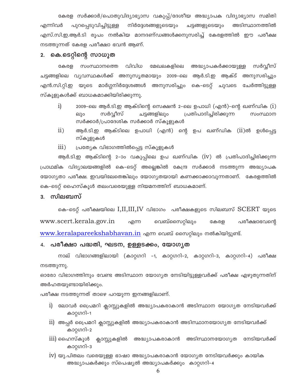കേരള സർക്കാർ/പൊതുവിദ്യാഭ്യാസ വകുപ്പ്/ദേശീയ അദ്ധ്യാപക വിദ്യാഭ്യാസ സമിതി എന്നിവർ നിർദ്ദേശങ്ങളുടെയും ചട്ടങ്ങളുടെയും അടിസ്ഥാനത്തിൽ പുറപ്പെടുവിച്ചിട്ടുള്ള എസ്.സി.ഇ.ആർ.ടി രൂപം നൽകിയ മാനദണ്ഡങ്ങൾക്കനുസരിച്ച് കേരളത്തിൽ ഈ പരീക്ഷ നടത്തുന്നത് കേരള പരീക്ഷാ ഭവൻ ആണ്.

## 2. കെ.ടെറ്റിന്റെ സാധുത

സംസ്ഥാനത്തെ വിവിധ മേഖലകളിലെ അദ്ധ്യാപകർക്കായുള്ള സർവ്വീസ് കേരള ചട്ടങ്ങളിലെ വൃവസ്ഥകൾക്ക് അനുസൃതമായും 2009–ലെ ആർ.ടി.ഇ ആക്ട് അനുസരിച്ചും എൻ.സി.റ്റി.ഇ യുടെ മാർഗ്ഗനിർദ്ദേശങ്ങൾ അനുസരിച്ചും കെ–ടെറ്റ് ചുവടെ ചേർത്തിട്ടുള്ള സ്കൂളുകൾക്ക് ബാധകമാക്കിയിരിക്കുന്നു.

- $i)$ 2009-ലെ ആർ.ടി.ഇ ആക്ടിന്റെ സെക്ഷൻ 2-ലെ ഉപാധി (എൻ)-ന്റെ ഖണ്ഡിക  $(i)$ സർവ്വീസ് ചട്ടങ്ങളിലും പ്രതിപാദിച്ചിരിക്കുന്ന സംസ്ഥാന ലും സർക്കാർ/പ്രാദേശിക സർക്കാർ സ്കൂളുകൾ
- $ii)$ ആർ.ടി.ഇ ആക്ടിലെ ഉപാധി (എൻ) ന്റെ ഉപ ഖണ്ഡിക ( $\overline{\text{ii}}$ )ൽ ഉൾപ്പെട്ട സ്കൂളുകൾ
- പ്രത്യേക വിഭാഗത്തിൽപ്പെട്ട സ്കൂളുകൾ  $\overline{111}$ )

ആർ.ടി.ഇ ആക്ടിന്റെ 2–ാം വകുപ്പിലെ ഉപ ഖണ്ഡിക (IV) ൽ പ്രതിപാദിച്ചിരിക്കുന്ന പ്രാഥമിക വിദ്യാലയങ്ങളിൽ കെ-ടെറ്റ് അല്ലെങ്കിൽ കേന്ദ്ര സർക്കാർ നടത്തുന്ന അദ്ധ്യാപക യോഗ്യതാ പരീക്ഷ. ഇവയിലേതെങ്കിലും യോഗ്യതയായി കണക്കാക്കാവുന്നതാണ്. കേരളത്തിൽ കെ–ടെറ്റ് ഹൈസ്കൂൾ തലംവരെയുള്ള നിയമനത്തിന് ബാധകമാണ്.

## 3. സിലബസ്

കെ-ടെറ്റ് പരീക്ഷയിലെ  $I, II, III, IV$  വിഭാഗം പരീക്ഷകളുടെ സിലബസ്  $SCEPT$  യുടെ www.scert.kerala.gov.in വെബ്സൈറ്റിലും എന്ന പരീക്ഷാഭവന്റെ കേരള www.keralapareekshabhavan.in എന്ന വെബ് സൈറ്റിലും നൽകിയിട്ടുണ്ട്.

#### 4. പരീക്ഷാ പദ്ധതി, ഘടന, ഉള്ളടക്കം, യോഗൃത

നാല് വിഭാഗങ്ങളിലായി (കാറ്റഗറി -1, കാറ്റഗറി-2, കാറ്റഗറി-3, കാറ്റഗറി-4) പരീക്ഷ നടത്തുന്നു.

ഓരോ വിഭാഗത്തിനും വേണ്ട അടിസ്ഥാന യോഗ്യത നേടിയിട്ടുള്ളവർക്ക് പരീക്ഷ എഴുതുന്നതിന് അർഹതയുണ്ടായിരിക്കും.

പരീക്ഷ നടത്തുന്നത് താഴെ പറയുന്ന ഇനങ്ങളിലാണ്.

- i) ലോവർ പ്രൈമറി ക്ലാസ്സുകളിൽ അദ്ധ്യാപകരാകാൻ അടിസ്ഥാന യോഗ്യത നേടിയവർക്ക് കാറ്റഗറി–1
- $\,$ ii) അപ്പർ പ്രൈമറി ക്ലാസ്സുകളിൽ അദ്ധ്യാപകരാകാൻ അടിസ്ഥാനയോഗ്യത നേടിയവർക്ക് കാറ്റഗറി–2
- $\overline{1}$ 11) ഹൈസ്കൂൾ ക്ലാസ്സുകളിൽ അദ്ധ്യാപകരാകാൻ അടിസ്ഥാനയോഗ്യത നേടിയവർക്ക് കാറ്റഗറി–3
- 1V) യു.പിതലം വരെയുള്ള ഭാഷാ അദ്ധ്യാപകരാകാൻ യോഗ്യത നേടിയവർക്കും കായിക അദ്ധ്യാപകർക്കും സ്പെഷ്യൽ അദ്ധ്യാപകർക്കും കാറ്റഗറി–4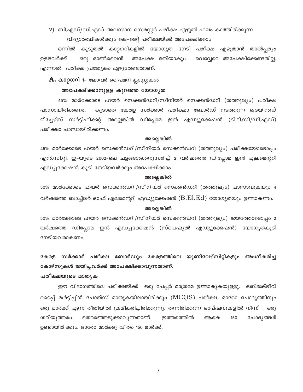$V$ ) ബി.എഡ്/ഡി.എഡ് അവസാന സെമസ്റ്റർ പരീക്ഷ എഴുതി ഫലം കാത്തിരിക്കുന്ന

വിദ്യാർത്ഥികൾക്കും കെ-ടെറ്റ് പരീക്ഷയ്ക്ക് അപേക്ഷിക്കാം

കൂടുതൽ കാറ്റഗറികളിൽ യോഗ്യത നേടി പരീക്ഷ എഴുതാൻ താൽപ്പര്യം ഒന്നിൽ ഉള്ളവർക്ക് ഒരു ഓൺലൈൻ അപേക്ഷ മതിയാകും. വെവ്വേറെ അപേക്ഷിക്കേണ്ടതില്ല, എന്നാൽ പരീക്ഷ പ്രത്യേകം എഴുതേണ്ടതാണ്.

#### $\bf A.$  കാറ്റഗറി 1- ലോവർ പ്രൈമറി ക്ലാസ്സുകൾ

#### അപേക്ഷിക്കാനുള്ള കുറഞ്ഞ യോഗൃത

45% മാർക്കോടെ ഹയർ സെക്കൻഡറി/സീനിയർ സെക്കൻഡറി (തത്തുല്യം) പരീക്ഷ കൂടാതെ കേരള സർക്കാർ പരീക്ഷാ ബോർഡ് നടത്തുന്ന ട്രെയിൻഡ് പാസായിരിക്കണം. ടീച്ചേഴ്സ് സർട്ടിഫിക്കറ്റ് അല്ലെങ്കിൽ ഡിപ്ലോമ ഇൻ എഡ്യൂക്കേഷൻ (ടി.ടി.സി/ഡി.എഡ്) പരീക്ഷാ പാസായിരിക്കണം.

#### അല്ലെങ്കിൽ

45% മാർക്കോടെ ഹയർ സെക്കൻഡറി/സീനിയർ സെക്കൻഡറി (തത്തുല്യം) പരീക്ഷയോടൊപ്പം എൻ.സി.റ്റി. ഇ–യുടെ 2002–ലെ ചട്ടങ്ങൾക്കനുസരിച്ച് 2 വർഷത്തെ ഡിപ്ലോമ ഇൻ എലമെന്ററി എഡ്യൂക്കേഷൻ കൂടി നേടിയവർക്കും അപേക്ഷിക്കാം

#### അല്ലെങ്കിൽ

50% മാർക്കോടെ ഹയർ സെക്കൻഡറി/സീനിയർ സെക്കൻഡറി (തത്തുല്യം) പാസാവുകയും 4 വർഷത്തെ ബാച്ച്ലർ ഓഫ് എലമെന്ററി എഡ്യൂക്കേഷൻ ( $\operatorname{B.El.Ed}$ ) യോഗൃതയും ഉണ്ടാകണം.

#### അല്ലെങ്കിൽ

50% മാർക്കോടെ ഹയർ സെക്കൻഡറി/സീനിയർ സെക്കൻഡറി (തത്തുല്യം) ജയത്തോടൊപ്പം 2 വർഷത്തെ ഡിപ്ലോമ ഇൻ എഡ്യൂക്കേഷൻ (സ്പെഷ്യൽ എഡ്യൂക്കേഷൻ) യോഗ്യതകൂടി നേടിയവരാകണം.

## കേരള സർക്കാർ പരീക്ഷ ബോർഡും കേരളത്തിലെ യൂണിവേഴ്സിറ്റികളും അംഗീകരിച്ച കോഴ്സുകൾ ജയിച്ചവർക്ക് അപേക്ഷിക്കാവുന്നതാണ്.

#### പരീക്ഷയുടെ മാതൃക

ഈ വിഭാഗത്തിലെ പരീക്ഷയ്ക്ക് ഒരു പേപ്പർ മാത്രമേ ഉണ്ടാകുകയുള്ളൂ. ഒബ്ജക്ടീവ് ടൈപ്പ് മൾട്ടിപ്പിൾ ചോയ്സ് മാതൃകയിലായിരിക്കും ( $\rm{MCQS)}$  പരീക്ഷ. ഓരോ ചോദ്യത്തിനും ഒരു മാർക്ക് എന്ന രീതിയിൽ ക്രമീകരിച്ചിരിക്കുന്നു. തന്നിരിക്കുന്ന ഓപ്ഷനുകളിൽ നിന്ന് 630) ശരിയുത്തരം തെരഞ്ഞെടുക്കാവുന്നതാണ്. ഇത്തരത്തിൽ ആകെ 150 ചോദ്യങ്ങൾ ഉണ്ടായിരിക്കും. ഓരോ മാർക്കു വീതം 150 മാർക്ക്.

 $\overline{7}$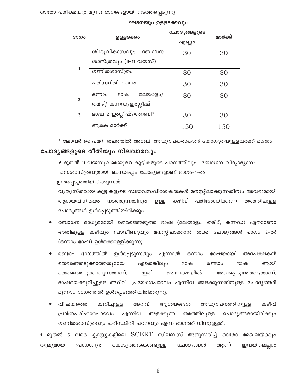തുല്യമായ പ്രാധാന്യം കൊടുത്തുകൊണ്ടുള്ള ചോദ്യങ്ങൾ ആണ് ഇവയിലെല്ലാം

- വിഷയത്തെ കുറിച്ചുള്ള അറിവ് ആശയങ്ങൾ അദ്ധ്യാപനത്തിനുള്ള കഴിവ് പ്രശ്നപരിഹാരപാടവം എന്നിവ തരത്തിലുള്ള അളക്കുന്ന ചോദ്യങ്ങളായിരിക്കും ഗണിതശാസ്ത്രവും പരിസ്ഥിതി പഠനവും എന്ന ഭാഗത്ത് നിന്നുള്ളത്.
- ഭാഗത്തിൽ ഉൾപ്പെടുന്നതും രണ്ടാം എന്നാൽ ഒന്നാം ഭാഷയായി അപേക്ഷകൻ തെരഞ്ഞെടുക്കാത്തതുമായ ഏതെങ്കിലും രണ്ടാം ആയി ഭാഷ ഭാഷ അപേക്ഷയിൽ തെരഞ്ഞെടുക്കാവുന്നതാണ്. ഇത് രേഖപ്പെടുത്തേണ്ടതാണ്. ഭാഷയെക്കുറിച്ചുള്ള അറിവ്, പ്രയോഗപാടവം എന്നിവ അളക്കുന്നതിനുള്ള ചോദ്യങ്ങൾ മൂന്നാം ഭാഗത്തിൽ ഉൾപ്പെടുത്തിയിരിക്കുന്നു.
- ബോധന മാധ്യമമായി തെരഞ്ഞെടുത്ത ഭാഷ (മലയാളം, തമിഴ്, കന്നഡ) ഏതാണോ അതിലുള്ള കഴിവും പ്രാവീണ്യവും മനസ്സിലാക്കാൻ തക്ക ചോദ്യങ്ങൾ ഭാഗം 2-ൽ (ഒന്നാം ഭാഷ) ഉൾക്കൊള്ളിക്കുന്നു.

ഉൾപ്പെടുത്തിയിരിക്കുന്നത്. വ്യത്യസ്തരായ കുട്ടികളുടെ സ്വഭാവസവിശേഷതകൾ മനസ്സിലാക്കുന്നതിനും അവരുമായി കഴിവ് പരിശോധിക്കുന്ന ആശയവിനിമയം നടത്തുന്നതിനും തരത്തിലുള്ള ഉള്ള ചോദ്യങ്ങൾ ഉൾപ്പെടുത്തിയിരിക്കും

മന:ശാസ്ത്രവുമായി ബന്ധപ്പെട്ട ചോദ്യങ്ങളാണ് ഭാഗം-1-ൽ

6 മുതൽ 11 വയസുവരെയുള്ള കുട്ടികളുടെ പഠനത്തിലും- ബോധന-വിദ്യാഭ്യാസ

## ചോദൃങ്ങളുടെ രീതിയും നിലവാരവും

\* ലോവർ പ്രൈമറി തലത്തിൽ അറബി അദ്ധ്യാപകരാകാൻ യോഗ്യതയുള്ളവർക്ക് മാത്രം

| ഭാഗം           | ഉള്ളടക്കം                                         | ചോദൃങ്ങളുടെ<br>എണ്ണം | മാർക്ക് |
|----------------|---------------------------------------------------|----------------------|---------|
|                | ശിശുവികാസവും<br>ബോധന<br>ശാസ്ത്രവും (6-11 വയസ്)    | 30                   | 30      |
| 1              | ഗണിതശാസ്ത്രം                                      | 30                   | 30      |
|                | പരിസ്ഥിതി പഠനം                                    | 30                   | 30      |
| $\overline{2}$ | മലയാളം/<br>ഒന്നാം<br>ഭാഷ<br>തമിഴ്/ കന്നഡ/ഇംഗ്ലീഷ് | 30                   | 30      |
| 3              | ഭാഷ-2 ഇംഗ്ലീഷ്/അറബി*                              | 30                   | 30      |
|                | ആകെ മാർക്ക്                                       | 150                  | 150     |

ഘടനയും ഉള്ളടക്കവും

ഓരോ പരീക്ഷയും മൂന്നു ഭാഗങ്ങളായി നടത്തപ്പെടുന്നു.

8

1 മുതൽ 5 വരെ ക്ലാസ്സുകളിലെ  $\rm{SCERT}$  സിലബസ് അനുസരിച്ച് ഓരോ മേഖലയ്ക്കും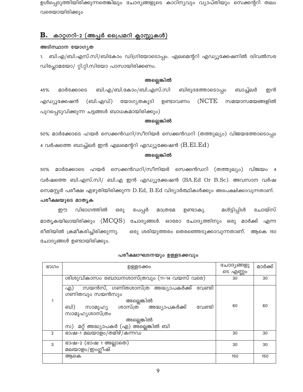ഉൾപ്പെടുത്തിയിരിക്കുന്നതെങ്കിലും ചോദ്യങ്ങളുടെ കാഠിന്യവും വ്യാപ്തിയും സെക്കന്ററി തലം വരെയായിരിക്കും

#### В. കാറ്റഗറി–2 (അപ്പർ പ്രൈമറി ക്ലാസ്സുകൾ)

#### അടിസ്ഥാന യോഗ്യത

ബി.എ/ബി.എസ്.സി/ബികോം ഡിഗ്രിയോടൊപ്പം. എലമെന്ററി എഡ്യൂക്കേഷനിൽ ദ്വിവൽസര  $1.$ ഡിപ്ലോമയോ/ റ്റി.റ്റി.സിയോ പാസായിരിക്കണം.

#### അല്ലെങ്കിൽ

ബി.എ/ബി.കോം/ബി.എസ്.സി 45% മാർക്കോടെ ബിരുദത്തോടൊപ്പം ബാച്ച്ലർ ഇൻ (NCTE) എഡ്യൂക്കേഷൻ (ബി.എഡ്) യോഗൃതകൂടി ഉണ്ടാവണം സമയാസമയങ്ങളിൽ പുറപ്പെടുവിക്കുന്ന ചട്ടങ്ങൾ ബാധകമായിരിക്കും)

#### അല്ലെങ്കിൽ

50% മാർക്കോടെ ഹയർ സെക്കൻഡറി/സീനിയർ സെക്കൻഡറി (തത്തുല്യം) വിജയത്തോടൊപ്പം 4 വർഷത്തെ ബാച്ച്ലർ ഇൻ എലമെന്ററി എഡ്യൂക്കേഷൻ  $(\operatorname{B.El.Ed})$ 

#### അല്ലെങ്കിൽ

മാർക്കോടെ ഹയർ സെക്കൻഡറി/സീനിയർ സെക്കൻഡറി (തത്തുല്യം) വിജയം 4 50% വർഷത്തെ ബി.എസ്.സി/ ബി.എ ഇൻ എഡ്യൂക്കേഷൻ (BA.Ed Or B.Sc). അവസാന വർഷ സെമസ്റ്റർ പരീക്ഷ എഴുതിയിരിക്കുന്ന D.Ed, B.Ed വിദ്യാർത്ഥികൾക്കും അപേക്ഷിക്കാവുന്നതാണ്.

#### പരീക്ഷയുടെ മാതൃക

വിഭാഗത്തിൽ ചോയ്സ് മൾട്ടിപ്പിൾ ഈ ഒരു പേപ്പർ മാത്രമേ ഉണ്ടാകു. മാതൃകയിലായിരിക്കും ( $\mathrm{MCOS})$  ചോദ്യങ്ങൾ. ഓരോ ചോദ്യത്തിനും ഒരു മാർക്ക് എന്ന രീതിയിൽ ക്രമീകരിച്ചിരിക്കുന്നു. ഒരു ശരിയുത്തരം തെരഞ്ഞെടുക്കാവുന്നതാണ്. ആകെ 150 ചോദ്യങ്ങൾ ഉണ്ടായിരിക്കും.

| ഭാഗം           | ൭ളളടക്കം                                                                                                                                                                                                        | ചോദ്യങ്ങളു | മാർക്ക് |
|----------------|-----------------------------------------------------------------------------------------------------------------------------------------------------------------------------------------------------------------|------------|---------|
|                |                                                                                                                                                                                                                 | ടെ എണ്ണാ   |         |
|                | ശിശുവികാസം ബോധനശാസ്ത്രവും (11–14 വയസ് വരെ)                                                                                                                                                                      | 30         | 30      |
|                | സയൻസ്, ഗണിതശാസ്ത്ര അദ്ധ്യാപകർക്ക്<br>വേണ്ടി<br>എ)<br>ഗണിതവും സയൻസും<br>അല്ലെങ്കിൽ<br>സാമൂഹ്യ ശാസ്ത്ര അദ്ധ്യാപകർക്ക്<br>വേണ്ടി<br>ബി)<br>സാമൂഹ്യശാസ്ത്രം<br>അല്ലെങ്കിൽ<br>സ) മറ്റ് അദ്ധ്യാപകർ (എ) അ്ല്ലെങ്കിൽ ബി | 60         | 60      |
| $\mathfrak{p}$ | ഭാഷ-1 മലയാളം/തമിഴ്/കന്നഡ                                                                                                                                                                                        | 30         | 30      |
| 3              | ഭാഷ-2 (ഭാഷ 1 അല്ലാതെ)<br>മലയാളം/ഇംഗ്ലീഷ്                                                                                                                                                                        | 30         | 30      |
|                |                                                                                                                                                                                                                 |            |         |
|                | അകെ                                                                                                                                                                                                             | 150        | 150     |

#### പരീക്ഷാഘടനയും ഉള്ളടക്കവും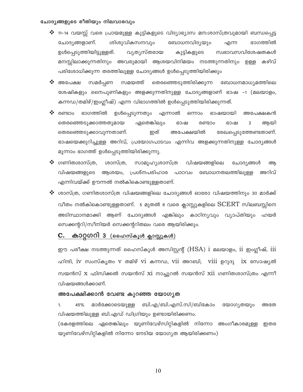#### ചോദൃങ്ങളുടെ രീതിയും നിലവാരവും

- ❖ 11–14 വയസ്സ് വരെ പ്രായമുള്ള കുട്ടികളുടെ വിദ്യാഭ്യാസ മന:ശാസ്ത്രവുമായി ബന്ധപ്പെട്ട ചോദ്യങ്ങളാണ്. ശിശുവികസനവും ബോധനവിദൃയും ഭാഗത്തിൽ എന്ന ഉൾപ്പെടുത്തിയിട്ടുള്ളത്. വ്യത്യസ്തരായ സ്വഭാവസവിശേഷതകൾ കുട്ടികളുടെ മനസ്സിലാക്കുന്നതിനും അവരുമായി ആശയവിനിമയം നടത്തുന്നതിനും ഉള്ള കഴിവ് പരിശോധിക്കുന്ന തരത്തിലുള്ള ചോദ്യങ്ങൾ ഉൾപ്പെടുത്തിയിരിക്കും
- ❖ അപേക്ഷ സമർപ്പണ സമയത്ത് തെരഞ്ഞെടുത്തിരിക്കുന്ന ബോധനമാധ്യമത്തിലെ ശേഷികളും നൈപുണികളും അളക്കുന്നതിനുള്ള ചോദ്യങ്ങളാണ് ഭാഷ –1 (മലയാളം, കന്നഡ/തമിഴ്/ഇംഗ്ലീഷ്) എന്ന വിഭാഗത്തിൽ ഉൾപ്പെടുത്തിയിരിക്കുന്നത്.
- രണ്ടാം ഭാഗത്തിൽ ഉൾപ്പെടുന്നതും എന്നാൽ ഒന്നാം ഭാഷയായി അപേക്ഷകൻ ഏതെങ്കിലും തെരഞ്ഞെടുക്കാത്തതുമായ ഭാഷ രണ്ടാം ഭാഷ  $\overline{2}$ ആയി അപേക്ഷയിൽ തെരഞ്ഞെടുക്കാവുന്നതാണ്. ഇത് രേഖപ്പെടുത്തേണ്ടതാണ്. ഭാഷയെക്കുറിച്ചുള്ള അറിവ്, പ്രയോഗപാടവം എന്നിവ അളക്കുന്നതിനുള്ള ചോദ്യങ്ങൾ മൂന്നാം ഭാഗത്ത് ഉൾപ്പെടുത്തിയിരിക്കുന്നു.
- $\clubsuit$  ഗണിതശാസ്ത്ര, ശാസ്ത്ര. സാമൂഹ്യശാസ്ത്ര വിഷയങ്ങളിലെ ചോദ്യങ്ങൾ അ വിഷയങ്ങളുടെ ആശയം, പ്രശ്നപരിഹാര പാഠവം ബോധനതലത്തിലൂള്ള അറിവ് എന്നിവയ്ക്ക് ഊന്നൽ നൽകികൊണ്ടുള്ളതാണ്.
- $\boldsymbol{\hat{*}}$  ശാസ്ത്ര, ഗണിതശാസ്ത്ര വിഷയങ്ങളിലെ ചോദ്യങ്ങൾ ഓരോ വിഷയത്തിനും 30 മാർക്ക് വീതം നൽകികൊണ്ടുള്ളതാണ്. 5 മുതൽ 8 വരെ ക്ലാസ്സുകളിലെ  $\rm{SCERT}$  സിലബസ്സിനെ അടിസ്ഥാനമാക്കി ആണ് ചോദ്യങ്ങൾ എങ്കിലും കാഠിന്യവും വ്യാപ്തിയും ഹയർ സെക്കന്ററി/സീനിയർ സെക്കന്ററിതലം വരെ ആയിരിക്കും.

## C. കാറ്റഗറി 3 (ഹൈസ്കൂൾ ക്ലാസ്സുകൾ)

ഈ പരീക്ഷ നടത്തുന്നത് ഹൈസ്കൂൾ അസിസ്റ്റന്റ് (HSA) i മലയാളം, ii ഇംഗ്ലീഷ്, iii ഹിന്ദി, iv സംസ്കൃതം v തമിഴ് vi കന്നഡ, vii അറബി, viii ഉറുദു ix സോഷ്യൽ സയൻസ്  $x$  ഫിസിക്കൽ സയൻസ്  $xi$  നാച്ചുറൽ സയൻസ്  $xii$  ഗണിതശാസ്ത്രം എന്നീ വിഷയങ്ങൾക്കാണ്.

#### അപേക്ഷിക്കാൻ വേണ്ട കുറഞ്ഞ യോഗൃത

45% മാർക്കോടെയുള്ള ബി.എ/ബി.എസ്.സി/ബികോം യോഗ്യതയും 1. അതേ വിഷയത്തിലുള്ള ബി.എഡ് ഡിഗ്രിയും ഉണ്ടായിരിക്കണം.

(കേരളത്തിലെ ഏതെങ്കിലും യൂണിവേഴ്സിറ്റികളിൽ നിന്നോ അംഗീകാരമുള്ള ഇതര യൂണിവേഴ്സിറ്റികളിൽ നിന്നോ നേടിയ യോഗ്യത ആയിരിക്കണം)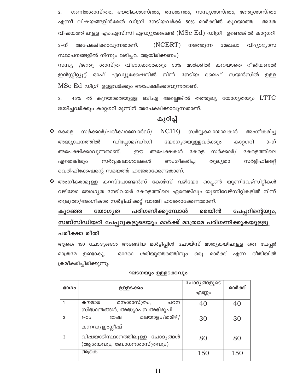ഗണിതശാസ്ത്രം, ഭൗതികശാസ്ത്രം, രസതന്ത്രം, സസ്യശാസ്ത്രം, ജന്തുശാസ്ത്രം  $\overline{2}$ . എന്നീ വിഷയങ്ങളിൻമേൽ ഡിഗ്രി നേടിയവർക്ക് 50% മാർക്കിൽ കുറയാത്ത അതേ വിഷയത്തിലുള്ള എം.എസ്.സി എഡ്യൂക്കേഷൻ ( $\operatorname{MSC} \to \operatorname{Cd}$ ) ഡിഗ്രി ഉണ്ടെങ്കിൽ കാറ്റഗറി  $(NCERT)$ 3-ന് അപേക്ഷിക്കാവുന്നതാണ്. നടത്തുന്ന മേഖലാ വിദ്യാഭ്യാസ സ്ഥാപനങ്ങളിൽ നിന്നും ലഭിച്ചവ ആയിരിക്കണം) സസ്യ /ജന്തു ശാസ്ത്ര വിഭാഗക്കാർക്കും 50% മാർക്കിൽ കുറയാതെ റീജിയണൽ ഇൻസ്റ്റിറ്റ്യൂട്ട് ഓഫ് എഡ്യൂക്കേഷനിൽ നിന്ന് നേടിയ ലൈഫ് സയൻസിൽ ற்தத  ${\rm MSC}\, {\rm Ed}$  ഡിഗ്രി ഉള്ളവർക്കും അപേക്ഷിക്കാവുന്നതാണ്.

3. 45% ൽ കുറയാതെയുള്ള ബി.എ അല്ലെങ്കിൽ തത്തുല്യ യോഗൃതയും  $\rm {LTTC}$ ജയിച്ചവർക്കും കാറ്റഗറി മൂന്നിന് അപേക്ഷിക്കാവുന്നതാണ്.

## കുറിപ്പ്

- NCTE) അംഗീകരിച്ച കേരള സർക്കാർ/പരീക്ഷാബോർഡ്/ സർവ്വകലാശാലകൾ 3–ന് അദ്ധ്യാപനത്തിൽ ഡിപ്ലോമ/ഡിഗ്രി യോഗ്യതയുളളവർക്കും കാറ്റഗറി അപേക്ഷിക്കാവുന്നതാണ്. றற അപേക്ഷകൾ കേരള സർക്കാർ/ കേരളത്തിലെ ഏതെങ്കിലും സർവ്വകലാശാലകൾ അംഗീകരിച്ച സർട്ടിഫിക്കറ്റ് തുല്യതാ വെരിഫിക്കേഷന്റെ സമയത്ത് ഹാജരാക്കേണ്ടതാണ്.
- അംഗീകരാമുള്ള കറസ്പോണ്ടൻസ് കോഴ്സ് വഴിയോ ഓപ്പൺ യൂണിവേഴ്സിറ്റികൾ വഴിയോ യോഗ്യത നേടിവയർ കേരളത്തിലെ ഏതെങ്കിലും യൂണിവേഴ്സിറ്റികളിൽ നിന്ന് തുല്യതാ/അംഗീകാര സർട്ടിഫിക്കറ്റ് വാങ്ങി ഹാജരാക്കേണ്ടതാണ്.

#### മെയിൻ കുറഞ്ഞ യോഗ്യത പരിഗണിക്കുമ്പോൾ പേപ്പറിന്റെയും, സബ്സിഡിയറി പേപ്പറുകളുടെയും മാർക്ക് മാത്രമേ പരിഗണിക്കുകയുള്ളൂ.

#### പരീക്ഷാ രീതി

ആകെ 150 ചോദ്യങ്ങൾ അടങ്ങിയ മൾട്ടിപ്പിൾ ചോയ്സ് മാതൃകയിലുള്ള ഒരു പേപ്പർ രീതിയിൽ ശരിയുത്തരത്തിനും ഒരു മാർക്ക് മാത്രമേ ഉണ്ടാകു. ഓരോ എന്ന ക്രമീകരിച്ചിരിക്കുന്നു.

| ഭാഗം           | ൭ളളടക്കം                         | ചോദ്യങ്ങളുടെ<br>എണ്ണം | മാർക്ക് |
|----------------|----------------------------------|-----------------------|---------|
|                | മന:ശാസ്ത്രം,<br>കൗമാര<br>പഠന     | 40                    | 40      |
|                | സിദ്ധാന്തങ്ങൾ, അദ്ധ്യാപന അഭിരുചി |                       |         |
| $\overline{2}$ | മലയാളം/തമിഴ്/<br>$1 - 0$<br>ഭാഷ  | 30                    | 30      |
|                | കന്നഡ/ഇംഗ്ലീഷ്                   |                       |         |
| 3              | വിഷയാടിസ്ഥാനത്തിലുള്ള ചോദ്യങ്ങൾ  | 80                    | 80      |
|                | (ആശയവും, ബോധനശാസ്ത്രവും)         |                       |         |
|                | അകെ                              | 150                   | 150     |

#### ഘടനയും ഉള്ളടക്കവും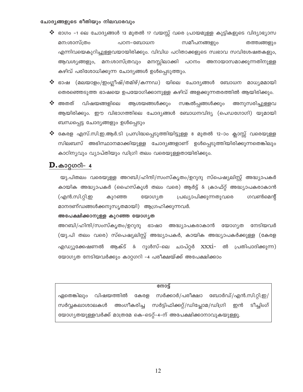#### ചോദൃങ്ങളുടെ രീതിയും നിലവാരവും

- ❖ ഭാഗം -1 ലെ ചോദ്യങ്ങൾ 13 മുതൽ 17 വയസ്സ് വരെ പ്രായമുള്ള കുട്ടികളുടെ വിദ്യാഭ്യാസ സമീപനങ്ങളും മന:ശാസ്ത്രം പഠന-ബോധന തത്ത്വങ്ങളും എന്നിവയെകുറിച്ചുള്ളവയായിരിക്കും. വിവിധ പഠിതാക്കളുടെ സ്വഭാവ സവിശേഷതകളും, ആവശ്യങ്ങളും, മന:ശാസ്ത്രവും മനസ്സിലാക്കി പഠനം അനായാസമാക്കുന്നതിനുള്ള കഴിവ് പരിശോധിക്കുന്ന ചോദ്യങ്ങൾ ഉൾപ്പെടുത്തും.
- $\boldsymbol{\mathbf{\hat{x}}}$  ഭാഷ (മലയാളം/ഇംഗ്ലീഷ്/തമിഴ്/കന്നഡ) യിലെ ചോദ്യങ്ങൾ ബോധന മാധ്യമമായി തെരഞ്ഞെടുത്ത ഭാഷയെ ഉപയോഗിക്കാനുള്ള കഴിവ് അളക്കുന്നതരത്തിൽ ആയിരിക്കും.
- $\cdot$  അതത് വിഷയങ്ങളിലെ ആശയങ്ങൾക്കും സങ്കൽപ്പങ്ങൾക്കും അനുസരിച്ചുള്ളവ ആയിരിക്കും. ഈ വിഭാഗത്തിലെ ചോദ്യങ്ങൾ ബോധനവിദ്യ (പെഡഗോഗി) യുമായി ബന്ധപ്പെട്ട ചോദ്യങ്ങളും ഉൾപ്പെടും
- ❖ കേരള എസ്.സി.ഇ.ആർ.ടി പ്രസിദ്ധപ്പെടുത്തിയിട്ടുള്ള 8 മുതൽ 12-ാം ക്ലാസ്സ് വരെയുള്ള സിലബസ് അഭിസ്ഥാനമാക്കിയുള്ള ചോദ്യങ്ങളാണ് ഉൾപ്പെടുത്തിയിരിക്കുന്നതെങ്കിലും കാഠിന്യവും വ്യാപ്തിയും ഡിഗ്രി തലം വരെയുള്ളതായിരിക്കും.

## $\mathbf{D}.\textcolor{red}{\textbf{a}}$ ാറ്റഗറി– 4

യു.പിതലം വരെയുള്ള അറബി/ഹിന്ദി/സംസ്കൃതം/ഉറുദു സ്പെഷ്യലിസ്റ്റ് അദ്ധ്യാപകർ കായിക അദ്ധ്യാപകർ (ഹൈസ്കൂൾ തലം വരെ) ആർട്ട് & ക്രാഫ്റ്റ് അദ്ധ്യാപകരാകാൻ (എൻ.സി.റ്റി.ഇ ഗവൺമെന്റ് കുറഞ്ഞ യോഗ്യത പ്രഖ്യാപിക്കുന്നതുവരെ മാനദണ്ഡങ്ങൾക്കനുസൃതമായി) ആഗ്രഹിക്കുന്നവർ.

#### അപേക്ഷിക്കാനുള്ള കുറഞ്ഞ യോഗൃത

അറബി/ഹിന്ദി/സംസ്കൃതം/ഉറുദു ഭാഷാ അദ്ധ്യാപകരാകാൻ യോഗ്യത നേടിയവർ (യു.പി തലം വരെ) സ്പെഷ്യലിസ്റ്റ് അദ്ധ്യാപകർ, കായിക അദ്ധ്യാപകർക്കുള്ള (കേരള എഡ്യൂക്കേഷണൽ ആക്ട് & റൂൾസ്–ലെ ചാപ്റ്റർ xxxi– ൽ പ്രതിപാദിക്കുന്ന) യോഗ്യത നേടിയവർക്കും കാറ്റഗറി -4 പരീക്ഷയ്ക്ക് അപേക്ഷിക്കാം

#### നോട്ട്

ഏതെങ്കിലും വിഷയത്തിൽ കേരള സർക്കാർ/പരീക്ഷാ ബോർഡ്/എൻ.സി.റ്റി.ഇ/ അംഗീകരിച്ച സർട്ടിഫിക്കറ്റ്/ഡിപ്ലോമ/ഡിഗ്രി സർവ്വകലാശാലകൾ ഇൻ ടീച്ചിംഗ് യോഗ്യതയുള്ളവർക്ക് മാത്രമേ കെ-ടെറ്റ്-4-ന് അപേക്ഷിക്കാനാവുകയുള്ളൂ.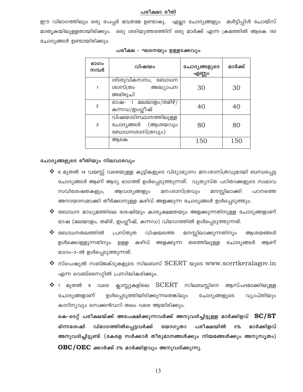#### പരീക്ഷാ രീതി

ഈ വിഭാഗത്തിലും ഒരു പേപ്പർ മാത്രമേ ഉണ്ടാകു. എല്ലാ ചോദ്യങ്ങളും മൾട്ടിപ്പിൾ ചോയ്സ് മാതൃകയിലുള്ളതായിരിക്കും. ഒരു ശരിയുത്തരത്തിന് ഒരു മാർക്ക് എന്ന ക്രമത്തിൽ ആകെ 150 ചോദ്യങ്ങൾ ഉണ്ടായിരിക്കും.

| ഭാഗം<br>നമ്പർ  | വിഷയം                                                         | ചോദൃങ്ങളുടെ<br>എണ്ണം | മാർക്ക് |
|----------------|---------------------------------------------------------------|----------------------|---------|
|                | ശിശുവികസനം, ബോധന<br>ശാസ്ത്രം അദ്ധ്യാപന<br>അഭിരുചി             | 30                   | 30      |
| $\overline{2}$ | ഭാഷ– 1 മലയാളം <i>(</i> തമിഴ്/<br>കന്നഡ/ഇംഗ്ലീഷ്               | 40                   | 40      |
| 3              | വിഷയാടിസ്ഥാനത്തിലുള്ള<br>ചോദ്യങ്ങൾ (ആശയവും<br>ബോധനശാസ്ത്രവും) | 80                   | 80      |
|                | അകെ                                                           | 150                  | 150     |

#### പരീക്ഷ – ഘടനയും ഉള്ളടക്കവും

#### ചോദൃങ്ങളുടെ രീതിയും നിലവാരവും

- $\bm{\dot{\ast}}$  6 മുതൽ 14 വയസ്സ് വരെയുള്ള കുട്ടികളുടെ വിദ്യാഭ്യാസ മന:ശാസ്ത്രവുമായി ബന്ധപ്പെട്ട ചോദ്യങ്ങൾ ആണ് ആദ്യ ഭാഗത്ത് ഉൾപ്പെടുത്തുന്നത്. വ്യത്യസ്ത പഠിതാക്കളുടെ സ്വഭാവ സവിശേഷതകളും, മന:ശാസ്ത്രവും മനസ്സിലാക്കി ആവശ്യങ്ങളും പഠനത്തെ അനായാസമാക്കി തീർക്കാനുള്ള കഴിവ് അളക്കുന്ന ചോദ്യങ്ങൾ ഉൾപ്പെടുത്തും.
- $\boldsymbol{\boldsymbol{\mathsf{*}}}$  ബോധന മാധ്യമത്തിലെ ശേഷിയും കാര്യക്ഷമതയും അളക്കുന്നതിനുള്ള ചോദ്യങ്ങളാണ് ഭാഷ (മലയാളം, തമിഴ്, ഇംഗ്ലീഷ്, കന്നഡ) വിഭാഗത്തിൽ ഉൾപ്പെടുത്തുന്നത്.
- $\clubsuit$  ബോധനതലത്തിൽ പ്രസ്തുത വിഷയത്തെ മനസ്സിലാക്കുന്നതിനും അശയങ്ങൾ ഉൾക്കൊള്ളുന്നതിനും ഉള്ള കഴിവ് അളക്കുന്ന തരത്തിലുള്ള ചോദ്യങ്ങൾ ആണ് ഭാഗം-3-ൽ ഉൾപ്പെടുത്തുന്നത്.
- $\clubsuit$  സ്പെഷ്യൽ സബ്ജക്ടുകളുടെ സിലബസ്  $SCERT$  യുടെ www.scert $ker$ alagov.in എന്ന വെബ്സൈറ്റിൽ പ്രസിദ്ധികരിക്കും.
- ക്ലാസ്സുകളിലെ SCERT സിലബസ്സിനെ ആസ്പദമാക്കിയുള്ള 1 മുതൽ 8 വരെ ചോദ്യങ്ങളാണ് ഉൾപ്പെടുത്തിയിരിക്കുന്നതെങ്കിലും വ്യാപ്തിയും ചോദ്യങ്ങളുടെ കാഠിന്യവും സെക്കൻഡറി തലം വരെ ആയിരിക്കും.

കെ-ടെറ്റ് പരീക്ഷയ്ക്ക് അപേക്ഷിക്കുന്നവർക്ക് അനുവദിച്ചിട്ടുള്ള മാർക്കിളവ്  $\, {\rm SC/ST}$ വിഭാഗത്തിൽപ്പെട്ടവർക്ക് ഭിന്നശേഷി യോഗ്യതാ പരീക്ഷയിൽ 5% മാർക്കിളവ് അനുവദിച്ചിട്ടുണ്ട്. (കേരള സർക്കാർ തീരുമാനങ്ങൾക്കും നിയമങ്ങൾക്കും അനുസൃതം)  $\overline{\text{OBC}/\text{OEC}}$  ക്കാർക്ക് 3% മാർക്കിളവും അനുവദിക്കുന്നു.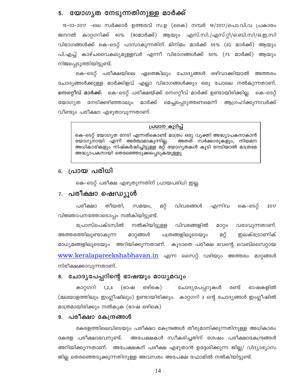## 5. യോഗൃത നേടുന്നതിനുള്ള മാർക്ക്

15–03–2017 –ലെ സർക്കാർ ഉത്തരവ് സ.ഉ (കൈ) നമ്പർ 18/2017/പൊ.വി.വ പ്രകാരം ജനറൽ കാറ്റഗറിക്ക് 60% (90മാർക്ക്) ആയും എസ്.സി./എസ്.റ്റി/ഒ.ബി.സി/ഒ.ഇ.സി വിഭാഗങ്ങൾക്ക് കെ–ടെറ്റ് പാസാകുന്നതിന് മിനിമം മാർക്ക് 55% (82 മാർക്ക്) ആയും പി.എച്ച് കാഴ്ചവൈകല്യമുള്ളവർ എന്നീ വിഭാഗങ്ങൾക്ക് 50% (75 മാർക്ക്) ആയും നിജപ്പെടുത്തിയിട്ടുണ്ട്.

കെ–ടെറ്റ് പരീക്ഷയിലെ ഏതെങ്കിലും ചോദ്യങ്ങൾ ഒഴിവാക്കിയാൽ അത്തരം ചോദ്യങ്ങൾക്കുള്ള മാർക്കിളവ് എല്ലാ വിഭാഗങ്ങൾക്കും ഒരു പോലെ നൽകുന്നതാണ്. **നെഗറ്റീവ് മാർക്ക്**: കെ-ടെറ്റ് പരീക്ഷയ്ക്ക് നെഗറ്റീവ് മാർക്ക് ഉണ്ടായിരിക്കില്ല. കെ-ടെറ്റ് മെച്ചപ്പെടുത്തണമെന്ന് ആഗ്രഹിക്കുന്നവർക്ക് നേടിക്കഴിഞ്ഞാലും മാർക്ക് യോഗ്യത വീണ്ടും പരീക്ഷാ എഴുതാവുന്നതാണ്.

#### പ്രധാന കുറിപ്പ്

കെ–ടെറ്റ് യോഗ്യത നേടി എന്നത്കൊണ്ട് മാത്രം ഒരു വ്യക്തി അദ്ധ്യാപകനാകാൻ യോഗ്യനായി എന്ന് അർത്ഥമാകുന്നില്ല. അതത് സർക്കാരുകളും, നിയമന അധികാരികളും നിഷ്കർഷിച്ചിട്ടുള്ള മറ്റ് യോഗ്യതകൾ കൂടി നേടിയാൽ മാത്രമേ അദ്ധ്യാപകനായി തെരഞ്ഞെടുക്കപ്പെടുകയുള്ളൂ

#### പ്രായ പരിധി 6.

കെ–ടെറ്റ് പരീക്ഷ എഴുതുന്നതിന് പ്രായപരിധി ഇല്ല.

#### **പരീക്ഷാ ഷെഡ്യൂൾ** 7.

പരീക്ഷാ തീയതി.  $m$  $Q$  $Q$  $O$ , വിവരങ്ങൾ എന്നിവ മറ്റ് കെ-ടെറ്റ് 2017 വിജ്ഞാപനത്തോടൊപ്പം നൽകിയിട്ടുണ്ട്.

വരാവുന്നതാണ്. പ്രോസ്പെക്ടസിൽ നൽകിയിട്ടുള്ള വിവരങ്ങളിൽ മാറ്റം പത്രങ്ങളിലൂടെയും മറ്റ് അത്തരത്തിലുണ്ടാകുന്ന മാറ്റങ്ങൾ ഇലക്ട്രോണിക് മാധ്യമങ്ങളിലൂടെയും അറിയിക്കുന്നതാണ്. കൂടാതെ പരീക്ഷ ഭവന്റെ വെബ്സൈറ്റായ <u>www.keralapareekshabhavan.in</u> എന്ന സൈറ്റ് വഴിയും അത്തരം മാറ്റങ്ങൾ നിരീക്ഷക്കാവുന്നതാണ്.

#### 8. ചോദൃപേപ്പറിന്റെ ഭാഷയും മാധ്യമവും

 $1, 2, 4$ ഒഴികെ) ഭാഷകളിൽ കാറ്റഗറി (ഭാഷ ചോദ്യപേപ്പറുകൾ രണ്ട് (മലയാളത്തിലും ഇംഗ്ലീഷിലും) ഉണ്ടായിരിക്കും. കാറ്റഗറി 3 ന്റെ ചോദ്യങ്ങൾ ഇംഗ്ലീഷിൽ മാത്രമായിരിക്കും നൽകുക (ഭാഷ ഒഴികെ)

#### പരീക്ഷാ കേന്ദ്രങ്ങൾ 9.

കേരളത്തിലെവിടെയും പരീക്ഷാ കേന്ദ്രങ്ങൾ തീരുമാനിക്കുന്നതിനുള്ള അധികാരം കേരള പരീക്ഷാഭവനുണ്ട്. അപേക്ഷകൾ സ്വീകരിച്ചതിന് ശേഷം പരീക്ഷാകേന്ദ്രങ്ങൾ അറിയിക്കുന്നതാണ്. അപേക്ഷകന് പരീക്ഷ എഴുതാൻ ഉദ്ദേശിക്കുന്ന ജില്ല/ വിദ്യാഭ്യാസ ജില്ല തെരഞ്ഞെടുക്കുന്നതിനുള്ള അവസരം അപേക്ഷ ഫോമിൽ നൽകിയിട്ടുണ്ട്.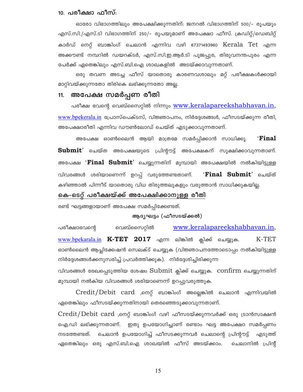#### 10. പരീക്ഷാ ഫീസ്:

ഓരോ വിഭാഗത്തിലും അപേക്ഷിക്കുന്നതിന്: ജനറൽ വിഭാഗത്തിന് 500/– രൂപയും എസ്.സി./എസ്.ടി വിഭാഗത്തിന് 250/– രൂപയുമാണ് അപേക്ഷാ ഫീസ്. ക്രഡിറ്റ്/ഡെബിറ്റ് കാർഡ് നെറ്റ് ബാങ്കിംഗ് ചെലാൻ എന്നിവ വഴി 67371493960 Kerala Tet എന്ന അക്കൗണ്ട് നമ്പറിൽ ഡയറക്ടർ, എസ്.സി.ഇ.ആർ.ടി പുജപ്പുര, തിരുവനന്തപുരം എന്ന പേർക്ക് ഏതെങ്കിലും എസ്.ബി.ഐ ശാഖകളിൽ അടയ്ക്കാവുന്നതാണ്.

ഒരു തവണ അടച്ച ഫീസ് യാതൊരു കാരണവശാലും മറ്റ് പരീക്ഷകൾക്കായി മാറ്റിവയ്ക്കുന്നതോ തിരികെ ലഭിക്കുന്നതോ അല്ല.

## 11. അപേക്ഷ സമർപ്പണ രീതി

പരീക്ഷ ഭവന്റെ വെബ്സൈറ്റിൽ നിന്നും <u>www.keralapareekshabhavan.in,</u> www.bpekerala.in പ്രോസ്പെക്ടസ്, വിജ്ഞാപനം, നിർദ്ദേശങ്ങൾ, ഫീസടയ്ക്കുന്ന രീതി, അപേക്ഷാരീതി എന്നിവ ഡൗൺലോഡ് ചെയ്ത് എടുക്കാവുന്നതാണ്.

അപേക്ഷ ഓൺലൈൻ ആയി മാത്രമേ സമർപ്പിക്കാൻ സാധിക്കൂ. **Final** Submit' ചെയ്ത അപേക്ഷയുടെ പ്രിന്റൗട്ട് അപേക്ഷകന് സൂക്ഷിക്കാവുന്നതാണ്. അപേക്ഷ '**Final Submit**' ചെയ്യുന്നതിന് മുമ്പായി അപേക്ഷയിൽ നൽകിയിട്ടുള്ള ് $\mathbf{Final}$  Submit' ചെയ്ത് വിവരങ്ങൾ ശരിയാണെന്ന് ഉറപ്പ് വരുത്തേണ്ടതാണ്. കഴിഞ്ഞാൽ പിന്നീട് യാതൊരു വിധ തിരുത്തലുകളും വരുത്താൻ സാധിക്കുകയില്ല.

## കെ–ടെറ്റ് പരീക്ഷയ്ക്ക് അപേക്ഷിക്കാനുള്ള രീതി

രണ്ട് ഘട്ടങ്ങളായാണ് അപേക്ഷ സമർപ്പിക്കേണ്ടത്.

#### ആദൃഘട്ടം (ഫീസടയ്ക്കൽ)

വെബ്സൈറ്റിൽ www.keralapareekshabhavan.in, പരീക്ഷാഭവന്റെ www.bpekarala.in K-TET 2017 എന്ന ലിങ്കിൽ ക്ലിക്ക് ചെയ്യുക. K-TET ഓൺലൈൻ ആപ്ലിക്കേഷൻ സെലക്ട് ചെയ്യുക (വിജ്ഞാപനത്തോടൊപ്പം നൽകിയിട്ടുള്ള നിർദ്ദേശങ്ങൾക്കനുസരിച്ച് പ്രവർത്തിക്കുക). നിർദ്ദേശിച്ചിരിക്കുന്ന

വിവരങ്ങൾ രേഖപ്പെടുത്തിയ ശേഷം  $\text{Submit}}$  ക്ലിക്ക് ചെയ്യുക.  $\text{confirm}}$  ചെയ്യുന്നതിന് മുമ്പായി നൽകിയ വിവരങ്ങൾ ശരിയാണെന്ന് ഉറപ്പുവരുത്തുക.

Credit/Debit card ,നെറ്റ് ബാങ്കിംഗ് അല്ലെങ്കിൽ ചെലാൻ എന്നിവയിൽ ഏതെങ്കിലും ഫീസടയ്ക്കുന്നതിനായി തെരഞ്ഞെടുക്കാവുന്നതാണ്.

 $\mathrm{Credit}/\mathrm{Debit}$   $\mathrm{card}$  ,നെറ്റ് ബാങ്കിംഗ് വഴി ഫീസടയ്ക്കുന്നവർക്ക് ഒരു ട്രാൻസാക്ഷൻ ഐ.ഡി ലഭിക്കുന്നതാണ്. ഇതു ഉപയോഗിച്ചാണ് രണ്ടാം ഘട്ട അപേക്ഷാ സമർപ്പണം നടത്തേണ്ടത്. ചെലാൻ ഉപയോഗിച്ച് ഫീസടക്കുന്നവർ ചെലാന്റെ പ്രിന്റൗട്ട് എടുത്ത് ഏതെങ്കിലും ഒരു എസ്.ബി.ഐ ശാഖയിൽ ഫീസ് അടയ്ക്കാം. ചെലാനിൽ പ്രിന്റ്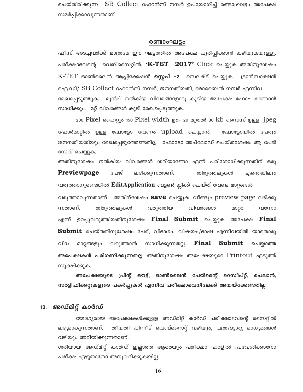ചെയ്തിരിക്കുന്ന  $\, {\rm SB} \,$  Collect റഫറൻസ് നമ്പർ ഉപയോഗിച്ച് രണ്ടാംഘട്ടം അപേക്ഷ സമർപ്പിക്കാവുന്നതാണ്.

#### രണ്ടാംഘട്ടം

ഫീസ് അടച്ചവർക്ക് മാത്രമേ ഈ ഘട്ടത്തിൽ അപേക്ഷ പൂരിപ്പിക്കാൻ കഴിയുകയുള്ളൂ. പരീക്ഷാഭവന്റെ വെബ്സൈറ്റിൽ, ' $\mathbf{K}\text{-}\mathbf{T}\mathbf{E}\mathbf{T}$  2017'  $\text{Click}$  ചെയ്യുക അതിനുശേഷം K-TET ഓൺലൈൻ ആപ്ലിക്കേഷൻ **സ്റ്റെപ് -2** സെലക്ട് ചെയ്യുക. ട്രാൻസാക്ഷൻ ഐ.ഡി/ SB Collect റഫറൻസ് നമ്പർ, ജനനതീയതി, മൊബൈൽ നമ്പർ എന്നിവ

രേഖപ്പെടുത്തുക. മുൻപ് നൽകിയ വിവരങ്ങളോടു കൂടിയ അപേക്ഷ ഫോം കാണാൻ സാധിക്കും. മറ്റ് വിവരങ്ങൾ കൂടി രേഖപ്പെടുത്തുക.

200 Pixel ഹൈറ്റും 150 Pixel width ഉം- 20 മുതൽ 30 kb സൈസ് ഉള്ള jpeg ഫോർമാറ്റിൽ ഉള്ള ഫോട്ടോ വേണം <code>upload ചെയ്യാൻ.</code> ഫോട്ടോയിൽ പേരും ജനനതീയതിയും രേഖപ്പെടുത്തേണ്ടതില്ല. ഫോട്ടോ അപ്ലോഡ് ചെയ്തശേഷം ആ പേജ് സേവ് ചെയ്യുക.

അതിനുശേഷം നൽകിയ വിവരങ്ങൾ ശരിയാണോ എന്ന് പരിശോധിക്കുന്നതിന് ഒരു **Previewpage** പേജ് ലഭിക്കുന്നതാണ്. തിരുത്തലുകൾ എന്തെങ്കിലും വരുത്താനുണ്ടെങ്കിൽ EditApplication ബട്ടൺ ക്ലിക്ക് ചെയ്ത് വേണ്ട മാറ്റങ്ങൾ

വരുത്താവുന്നതാണ്. അതിന്ശേഷം save ചെയ്യുക. വീണ്ടും preview page ലഭിക്കു ന്നതാണ്. തിരുത്തലുകൾ വരുത്തിയ വിവരങ്ങൾ മാറ്റം വന്നോ എന്ന് ഉറപ്പുവരുത്തിയതിനുശേഷം **Final Submit** ചെയ്യുക അപേക്ഷ **Final**  $\bf{Submit}$  ചെയ്തതിനുശേഷം പേര്, വിഭാഗം, വിഷയം/ഭാഷ എന്നിവയിൽ യാതൊരു വിധ Final Submit മാറ്റങ്ങളും വരുത്താൻ സാധിക്കുന്നതല്ല. ചെയ്യാത്ത **അപേക്ഷകൾ പരിഗണിക്കുന്നതല്ല**. അതിനുശേഷം അപേക്ഷയുടെ Printout എടുത്ത് സൂക്ഷിക്കുക.

അപേക്ഷയുടെ പ്രിന്റ് ഔട്ട്, ഓൺലൈൻ പേയ്മെന്റ് റെസീപ്റ്റ്, ചെലാൻ, സർട്ടിഫിക്കറ്റുകളുടെ പകർപ്പുകൾ എന്നിവ പരീക്ഷാഭവനിലേക്ക് അയയ്ക്കേണ്ടതില്ല.

## 12. അഡ്മിറ്റ് കാർഡ്

യോഗ്യരായ അപേക്ഷകൾക്കുള്ള അഡ്മിറ്റ് കാർഡ് പരീക്ഷാഭവന്റെ സൈറ്റിൽ തീയതി പിന്നീട് വെബ്സൈറ്റ് വഴിയും, പത്ര/ദൃശ്യ മാധ്യമങ്ങൾ ലഭ്യമാകുന്നതാണ്. വഴിയും അറിയിക്കുന്നതാണ്.

ശരിയായ അഡ്മിറ്റ് കാർഡ് ഇല്ലാത്ത ആരെയും പരീക്ഷാ ഹാളിൽ പ്രവേശിക്കാനോ പരീക്ഷ എഴുതാനോ അനുവദിക്കുകയില്ല.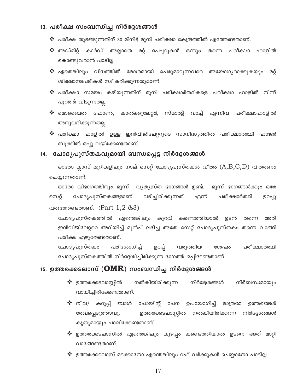#### 13. പരീക്ഷ സംബന്ധിച്ച നിർദ്ദേശങ്ങൾ

- $\boldsymbol{\cdot}$ പരീക്ഷ തുടങ്ങുന്നതിന് 30 മിനിട്ട് മുമ്പ് പരീക്ഷാ കേന്ദ്രത്തിൽ എത്തേണ്ടതാണ്.
- മറ്റ് പേപ്പറുകൾ ഒന്നും ❖ അഡ്മിറ്റ് കാർഡ് അല്ലാതെ പരീക്ഷാ ഹാളിൽ തന്നെ കൊണ്ടുവരാൻ പാടില്ല.
- ❖ ഏതെങ്കിലും വിധത്തിൽ മോശമായി പെരുമാറുന്നവരെ അയോഗ്യരാക്കുകയും മറ്റ് ശിക്ഷാനടപടികൾ സ്വീകരിക്കുന്നതുമാണ്.
- $\boldsymbol{\hat{\cdot}}$  പരീക്ഷാ സമയം കഴിയുന്നതിന് മുമ്പ് പരിക്ഷാർത്ഥികളെ പരീക്ഷാ ഹാളിൽ നിന്ന് പുറത്ത് വിടുന്നതല്ല.
- ❖ മൊബൈൽ ഫോൺ, കാൽക്കുലേറ്റർ, സ്മാർട്ട് വാച്ച് എന്നിവ പരീക്ഷാഹാളിൽ അനുവദിക്കുന്നതല്ല.
- $\bm{\hat{}}$  പരീക്ഷാ ഹാളിൽ ഉള്ള ഇൻവിജിലേറ്ററുടെ സാനിദ്ധ്യത്തിൽ പരീക്ഷാർത്ഥി ഹാജർ ബുക്കിൽ ഒപ്പു വയ്ക്കേണ്ടതാണ്.

## 14. ചോദൃപുസ്തകവുമായി ബന്ധപ്പെട്ട നിർദ്ദേശങ്ങൾ

ഓരോ ക്ലാസ് മുറികളിലും നാല് സെറ്റ് ചോദൃപുസ്തകൾ വീതം  $(A,B,C,D)$  വിതരണം ചെയ്യുന്നതാണ്.

ഓരോ വിഭാഗത്തിനും മൂന്ന് വ്യത്യസ്ത ഭാഗങ്ങൾ ഉണ്ട്. മൂന്ന് ഭാഗങ്ങൾക്കും ഒരേ സെറ്റ് ചോദ്യപുസ്തകങ്ങളാണ് ലഭിച്ചിരിക്കുന്നത് എന്ന് പരീക്ഷാർത്ഥി ഉറപ്പു വരുത്തേണ്ടതാണ്.  $(Part 1, 2 \& 3)$ 

ചോദ്യപുസ്തകത്തിൽ എന്തെങ്കിലും കുറവ് കണ്ടെത്തിയാൽ ഉടൻ തന്നെ അത് ഇൻവിജിലേറ്ററെ അറിയിച്ച് മുൻപ് ലഭിച്ച അതേ സെറ്റ് ചോദ്യപുസ്തകം തന്നെ വാങ്ങി പരീക്ഷ എഴുതേണ്ടതാണ്.

ചോദൃപുസ്തകം പരിശോധിച്ച് ഉറപ്പ് വരുത്തിയ ശേഷം പരീക്ഷാർത്ഥി ചോദ്യപുസ്തകത്തിൽ നിർദ്ദേശിച്ചിരിക്കുന്ന ഭാഗത്ത് ഒപ്പിടേണ്ടതാണ്.

## 15. ഉത്തരക്കടലാസ്  $(\mathbf{OMR})$  സംബന്ധിച്ച നിർദ്ദേശങ്ങൾ

- $\clubsuit$  ഉത്തരക്കടലാസ്സിൽ നൽകിയിരിക്കുന്ന നിർദ്ദേശങ്ങൾ നിർബന്ധമായും വായിച്ചിരിക്കേണ്ടതാണ്.
- ❖ നീല/ കറുപ്പ് ബാൾ പോയിന്റ് ഉപയോഗിച്ച് മാത്രമേ ഉത്തരങ്ങൾ പേന ഉത്തരക്കടലാസ്സിൽ നൽകിയിരിക്കുന്ന നിർദ്ദേശങ്ങൾ രേഖപ്പെടുത്താവൂ. കൃത്യമായും പാലിക്കേണ്ടതാണ്.
- ❖ ഉത്തരക്കടലാസിൽ എന്തെങ്കിലും കുഴപ്പം കണ്ടെത്തിയാൽ ഉടനെ അത് മാറ്റി വാങ്ങേണ്ടതാണ്.
- ❖ ഉത്തരക്കടലാസ് മടക്കാനോ എന്തെങ്കിലും റഫ് വർക്കുകൾ ചെയ്യാനോ പാടില്ല.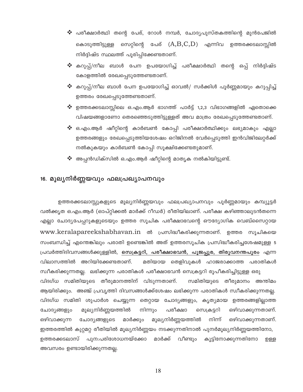- ❖ പരീക്ഷാർത്ഥി തന്റെ പേര്, റോൾ നമ്പർ, ചോദ്യപുസ്തകത്തിന്റെ മുൻപേജിൽ സെറ്റിന്റെ പേര്  $(A,B,C,D)$  എന്നിവ ഉത്തരക്കടലാസ്സിൽ കൊടുത്തിട്ടുള്ള നിർദ്ദിഷ്ട സ്ഥലത്ത് പൂരിപ്പിക്കേണ്ടതാണ്.
- കറുപ്പ്/നീല ബാൾ പേന ഉപയോഗിച്ച് പരീക്ഷാർത്ഥി തന്റെ ഒപ്പ് നിർദ്ദിഷ്ട കോളത്തിൽ രേഖപ്പെടുത്തേണ്ടതാണ്.
- കറുപ്പ്/നീല ബാൾ പേന ഉപയോഗിച്ച് ഓവൽ/ സർക്കിൾ പൂർണ്ണമായും കറുപ്പിച്ച് ഉത്തരം രേഖപ്പെടുത്തേണ്ടതാണ്.
- ഉത്തരക്കടലാസ്സിലെ ഒ.എം.ആർ ഭാഗത്ത് പാർട്ട് 1,2,3 വിഭാഗങ്ങളിൽ ഏതൊക്കെ വിഷയങ്ങളാണോ തെരഞ്ഞെടുത്തിട്ടുള്ളത് അവ മാത്രം രേഖപ്പെടുത്തേണ്ടതാണ്.
- ഒ.എം.ആർ ഷീറ്റിന്റെ കാർബൺ കോപ്പി പരീക്ഷാർത്ഥിക്കും ലഭ്യമാകും എല്ലാ ഉത്തരങ്ങളും രേഖപ്പെടുത്തിയശേഷം ഒറിജിനൽ വേർപ്പെടുത്തി ഇൻവിജിലേറ്റർക്ക് നൽകുകയും കാർബൺ കോപ്പി സൂക്ഷിക്കേണ്ടതുമാണ്.
- ❖ അപ്പൻഡിക്സിൽ ഒ.എം.ആർ ഷീറ്റിന്റെ മാതൃക നൽകിയിട്ടുണ്ട്.

## 16. മൂല്യനിർണ്ണയവും ഫലപ്രഖ്യാപനവും

ഉത്തരക്കടലാസ്സുകളുടെ മൂല്യനിർണ്ണയവും ഫലപ്രഖ്യാപനവും പൂർണ്ണമായും കമ്പ്യൂട്ടർ വൽക്കൃത ഒ.എം.ആർ (ഓപ്റ്റിക്കൽ മാർക്ക് റീഡർ) രീതിയിലാണ്. പരീക്ഷ കഴിഞ്ഞാലുടൻതന്നെ എല്ലാ ചോദ്യപേപ്പറുകളുടെയും ഉത്തര സൂചിക പരീക്ഷാഭവന്റെ ഔദ്യോഗിക വെബ്സൈറ്റായ www.keralapareekshabhavan.in ൽ പ്രസിദ്ധീകരിക്കുന്നതാണ്. ഉത്തര സൂചികയെ സംബന്ധിച്ച് എന്തെങ്കിലും പരാതി ഉണ്ടെങ്കിൽ അത് ഉത്തരസൂചിക പ്രസിദ്ധീകരിച്ചശേഷമുള്ള 5 പ്രവർത്തിദിവസങ്ങൾക്കുള്ളിൽ, <mark>സെക്രട്ടറി, പരീക്ഷാഭവൻ, പൂജപ്പുര, തിരുവനന്തപുരം</mark> എന്ന വിലാസത്തിൽ അറിയിക്കേണ്ടതാണ്. മതിയായ തെളിവുകൾ ഹാജരാക്കാത്ത പരാതികൾ സ്വീകരിക്കുന്നതല്ല. ലഭിക്കുന്ന പരാതികൾ പരീക്ഷാഭവൻ സെക്രട്ടറി രൂപീകരിച്ചിട്ടുള്ള ഒരു വിദഗ്ധ സമിതിയുടെ തീരുമാനത്തിന് വിടുന്നതാണ്. സമിതിയുടെ തീരുമാനം അന്തിമം ആയിരിക്കും. അഞ്ച് പ്രവൃത്തി ദിവസങ്ങൾക്ക്ശേഷം ലഭിക്കുന്ന പരാതികൾ സ്വീകരിക്കുന്നതല്ല. വിദഗ്ധ സമിതി ശുപാർശ ചെയ്യുന്ന തെറ്റായ ചോദ്യങ്ങളും, കൃത്യമായ ഉത്തരങ്ങളില്ലാത്ത മൂല്യനിർണ്ണയത്തിൽ നിന്നും പരീക്ഷാ സെക്രട്ടറി ചോദ്യങ്ങളും ഒഴിവാക്കുന്നതാണ്. മൂല്യനിർണ്ണയത്തിൽ ഒഴിവാക്കുന്ന ചോദ്യങ്ങളുടെ നിന്ന് മാർക്കും ഒഴിവാക്കുന്നതാണ്. ഇത്തരത്തിൽ കുറ്റമറ്റ രീതിയിൽ മൂല്യനിർണ്ണയം നടക്കുന്നതിനാൽ പുനർമൂല്യനിർണ്ണയത്തിനോ,

ഉത്തരക്കടലാസ് പുന:പരിശോധനയ്ക്കോ മാർക്ക് വീണ്ടും കൂട്ടിനോക്കുന്നതിനോ ற்தத അവസരം ഉണ്ടായിരിക്കുന്നതല്ല.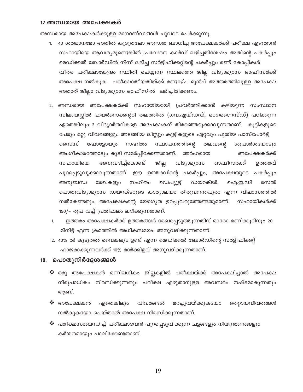#### 17.അന്ധരായ അപേക്ഷകർ

അന്ധരായ അപേക്ഷകർക്കുള്ള മാനദണ്ഡങ്ങൾ ചുവടെ ചേർക്കുന്നു.

- 40 ശതമാനമോ അതിൽ കൂടുതലോ അന്ധത ബാധിച്ച അപേക്ഷകർക്ക് പരീക്ഷ എഴുതാൻ  $1<sup>1</sup>$ സഹായിയെ ആവശ്യമുണ്ടെങ്കിൽ പ്രവേശന കാർഡ് ലഭിച്ചതിശേഷം അതിന്റെ പകർപ്പും മെഡിക്കൽ ബോർഡിൽ നിന്ന് ലഭിച്ച സർട്ടിഫിക്കറ്റിന്റെ പകർപ്പും രണ്ട് കോപ്പികൾ വീതം പരീക്ഷാകേന്ദ്രം സ്ഥിതി ചെയ്യുന്ന സ്ഥലത്തെ ജില്ല വിദ്യാഭ്യാസ ഓഫീസർക്ക് അപേക്ഷ നൽകുക. പരീക്ഷാതീയതിയ്ക്ക് രണ്ടാഴ്ച മുൻപ് അത്തരത്തിലുള്ള അപേക്ഷ അതാത് ജില്ലാ വിദ്യാഭ്യാസ ഓഫീസിൽ ലഭിച്ചിരിക്കണം.
- 2. അന്ധരായ അപേക്ഷകർക്ക് സഹായിയായി പ്രവർത്തിക്കാൻ കഴിയുന്ന സംസ്ഥാന സിലബസ്സിൽ ഹയർസെക്കന്ററി തലത്തിൽ (ഗവ.എയ്ഡഡ്, ഗെഗഗൈസ്ഡ്) പഠിക്കുന്ന ഏതെങ്കിലും 2 വിദ്യാർത്ഥികളെ അപേക്ഷകന് തിരഞ്ഞെടുക്കാവുന്നതാണ്. കുട്ടികളുടെ പേരും മറ്റു വിവരങ്ങളും അടങ്ങിയ ലിസ്റ്റും കുട്ടികളുടെ ഏറ്റവും പുതിയ പാസ്പോർട്ട് സൈസ് ഫോട്ടോയും സഹിതം സ്ഥാപനത്തിന്റെ തലവന്റെ ശുപാർശയോടും അംഗീകാരത്തോടും കൂടി സമർപ്പിക്കേണ്ടതാണ്. അർഹരായ അപേക്ഷകർക്ക് സഹായിയെ അനുവദിച്ച്കൊണ്ട് ജില് വിദ്യാഭ്യാസ ഓഫീസർക്ക് ഉത്തരവ് പുറപ്പെടുവുക്കാവുന്നതാണ്. ഈ ഉത്തരവിന്റെ പകർപ്പും, അപേക്ഷയുടെ പകർപ്പു<mark>ം</mark> സഹിതം ഡയറക്ടർ, അനുബന്ധ രേഖകളും ഡെപ്യൂട്ടി ഐ.ഇ.ഡി സെൽ പൊതുവിദ്യാഭ്യാസ ഡയറക്ടറുടെ കാര്യാലയം തിരുവനന്തപുരം എന്ന വിലാസത്തിൽ നൽകേണ്ടതും, അപേക്ഷകന്റെ യോഗ്യത ഉറപ്പുവരുത്തേണ്ടതുമാണ്. സഹായികൾക്ക് 150/– രൂപ വച്ച് പ്രതിഫലം ലഭിക്കുന്നതാണ്.
- ഇത്തരം അപേക്ഷകർക്ക് ഉത്തരങ്ങൾ രേഖപ്പെടുത്തുന്നതിന് ഓരോ മണിക്കൂറിനും 20 1. മിനിട്ട് എന്ന ക്രമത്തിൽ അധികസമയം അനുവദിക്കുന്നതാണ്.
- 2. 40% ൽ കൂടുതൽ വൈകല്യം ഉണ്ട് എന്ന മെഡിക്കൽ ബോർഡിന്റെ സർട്ടിഫിക്കറ്റ് ഹാജരാക്കുന്നവർക്ക് 10% മാർക്കിളവ് അനുവദിക്കുന്നതാണ്.

#### 18. പൊതുനിർദ്ദേശങ്ങൾ

- $\bm{\bm{\dot{\ast}}}$  ഒരു അപേക്ഷകൻ ഒന്നിലധികം ജില്ലകളിൽ പരീക്ഷയ്ക്ക് അപേക്ഷിച്ചാൽ അപേക്ഷ നിരുപാധികം നിരസിക്കുന്നതും പരീക്ഷ എഴുതാനുള്ള അവസരം നഷ്ടമാകുന്നതും ആണ്.
- ❖ അപേക്ഷകൻ ഏതെങ്കിലും മറച്ചുവയ്ക്കുകയോ വിവരങ്ങൾ തെറ്റായവിവരങ്ങൾ നൽകുകയോ ചെയ്താൽ അപേക്ഷ നിരസിക്കുന്നതാണ്.
- $\boldsymbol{\cdot}$ െ പരീക്ഷസംബന്ധിച്ച് പരീക്ഷാഭവൻ പുറപ്പെടുവിക്കുന്ന ചട്ടങ്ങളും നിയന്ത്രണങ്ങളും കർശനമായും പാലിക്കേണ്ടതാണ്.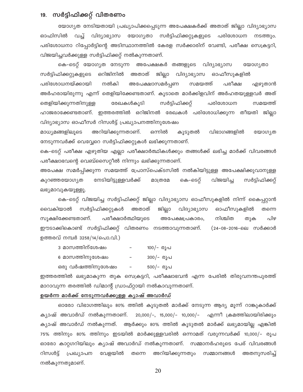## 19. സർട്ടിഫിക്കറ്റ് വിതരണം

യോഗ്യത നേടിയതായി പ്രഖ്യാപിക്കപ്പെടുന്ന അപേക്ഷകർക്ക് അതാത് ജില്ലാ വിദ്യാഭ്യാസ ഓഫിസിൽ വച്ച് വിദ്യാഭ്യാസ യോഗ്യതാ സർട്ടിഫിക്കറ്റുകളുടെ പരിശോധന നടത്തും. പരിശോധനാ റിപ്പോർട്ടിന്റെ അടിസ്ഥാനത്തിൽ കേരള സർക്കാരിന് വേണ്ടി, പരീക്ഷ സെക്രട്ടറി, വിജയിച്ചവർക്കുള്ള സർട്ടിഫിക്കറ്റ് നൽകുന്നതാണ്.

കെ–ടെറ്റ് യോഗൃത നേടുന്ന അപേക്ഷകർ തങ്ങളുടെ വിദ്യാഭ്യാസ യോഗ്യതാ ഒറിജിനിൽ അതാത് ജില്ലാ വിദ്യാഭ്യാസ ഓഫീസുകളിൽ സർട്ടിഫിക്കറ്റുകളുടെ പരിശോധനയ്ക്കായി നൽകി അപേക്ഷാസമർപ്പണ സമയത്ത് പരീക്ഷ എഴുതാൻ അർഹരായിരുന്നു എന്ന് തെളിയിക്കേണ്ടതാണ്. കൂടാതെ മാർക്കിളവിന് അർഹതയുള്ളവർ അത് രേഖകൾകുടി സർട്ടിഫിക്കറ്റ് പരിശോധന തെളിയിക്കുന്നതിനുള്ള സമയത്ത് ഹാജരാക്കേണ്ടതാണ്. ഇത്തരത്തിൽ ഒറിജിനൽ രേഖകൾ പരിശോധിക്കുന്ന തീയതി ജില്ല<mark>ാ</mark> വിദ്യാഭ്യാസ ഓഫീസർ റിസൾട്ട് പ്രഖ്യാപനത്തിനുശേഷം

അറിയിക്കുന്നതാണ്. വിഭാഗങ്ങളിൽ മാധ്യമങ്ങളിലൂടെ ഒന്നിൽ കൂടുതൽ യോഗ്യത നേടുന്നവർക്ക് വെവ്വേറെ സർട്ടിഫിക്കറ്റുകൾ ലഭിക്കുന്നതാണ്.

കെ–ടെറ്റ് പരീക്ഷ എഴുതിയ എല്ലാ പരീക്ഷാർത്ഥികൾക്കും തങ്ങൾക്ക് ലഭിച്ച മാർക്ക് വിവരങ്ങൾ പരീക്ഷാഭവന്റെ വെബ്സൈറ്റീൽ നിന്നും ലഭിക്കുന്നതാണ്.

അപേക്ഷ സമർപ്പിക്കുന്ന സമയത്ത് പ്രോസ്പെക്ടസിൽ നൽകിയിട്ടുള്ള അപേക്ഷിക്കുവാനുള്ള നേടിയിട്ടുള്ളവർക്ക് കെ-ടെറ്റ് വിജയിച്ച കുറഞ്ഞയോഗ്യത മാത്രമേ സർട്ടിഫിക്കറ്റ് ലഭ്യമാവുകയൂള്ളൂ.

കെ-ടെറ്റ് വിജയിച്ച സർട്ടിഫിക്കറ്റ് ജില്ലാ വിദ്യാഭ്യാസ ഓഫീസുകളിൽ നിന്ന് കൈപ്പറ്റാൻ വൈകിയാൽ സർട്ടിഫിക്കറ്റുകൾ അതാത് ജില്ലാ വിദ്യാഭ്യാസ ഓഫീസുകളിൽ തന്നെ നിശ്ചിത സുക്ഷിക്കേണ്ടതാണ്. പരീക്ഷാർത്ഥിയുടെ അപേക്ഷപ്രകാരം, തുക പിഴ ഈടാക്കികൊണ്ട് സർട്ടിഫിക്കറ്റ് വിതരണം നടത്താവുന്നതാണ്. (24-08-2016-ലെ സർക്കാർ ഉത്തരവ് നമ്പർ 3258/14/പൊ.വി.)

- 3 മാസത്തിന്ശേഷം 100/- രൂപ
- 6 മാസത്തിനുശേഷം 300/- രൂപ
- ഒരു വർഷത്തിനുശേഷം 500/- രൂപ  $\overline{\phantom{a}}$

ഇത്തരത്തിൽ ലഭ്യമാകുന്ന തുക സെക്രട്ടറി, പരീക്ഷാഭവൻ എന്ന പേരിൽ തിരുവനന്തപുരത്ത് മാറാവുന്ന തരത്തിൽ ഡിമാന്റ് ഡ്രാഫ്റ്റായി നൽകാവുന്നതാണ്.

#### ഉയർന്ന മാർക്ക് നേടുന്നവർക്കുള്ള ക്യാഷ് അവാർഡ്

ഓരോ വിഭാഗത്തിലും 80% ത്തിൽ കൂടുതൽ മാർക്ക് നേടുന്ന ആദ്യ മൂന്ന് റാങ്കുകാർക്ക്  $20,000/-$ , 15,000/- 10,000/-കൃാഷ് അവാർഡ് നൽകുന്നതാണ്. എന്നീ ക്രമത്തിലായിരിക്കും ക്യാഷ് അവാർഡ് നൽകുന്നത്. ആർക്കും 80% ത്തിൽ കൂടുതൽ മാർക്ക് ലഭ്യമായില്ല എങ്കിൽ 75% ത്തിനും 80% ത്തിനും ഇടയിൽ മാർക്കുള്ളവരിൽ ഒന്നാമത് വരുന്നവർക്ക് 10,000/– രൂപ ഓരോ കാറ്റഗറിയിലും ക്യാഷ് അവാർഡ് നൽകുന്നതാണ്. സമ്മാനർഹരുടെ പേര് വിവരങ്ങൾ അറിയിക്കുന്നതും സമ്മാനങ്ങൾ റിസൾട്ട് പ്രഖ്യാപന വേളയിൽ തന്നെ അതനുസരിച്ച് നൽകുന്നതുമാണ്.